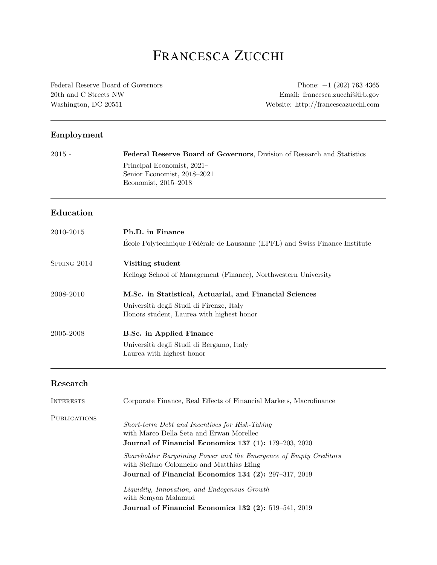# FRANCESCA ZUCCHI

[Federal Reserve Board of Governors](http://www.sfi.ch/) 20th and C Streets NW Washington, DC 20551

Phone: +1 (202) 763 4365 Email: [fr](mailto: francesca.zucchi@frb.gov)ancesca.zucchi@frb.gov Website: [http://francescazucchi.com](http://francescazucchi.com/)

#### Employment

| <b>Federal Reserve Board of Governors</b> , Division of Research and Statistics |
|---------------------------------------------------------------------------------|
| Principal Economist, 2021-                                                      |
| Senior Economist, 2018–2021                                                     |
| Economist, $2015-2018$                                                          |
|                                                                                 |

#### Education

| 2010-2015   | Ph.D. in Finance<br>École Polytechnique Fédérale de Lausanne (EPFL) and Swiss Finance Institute |
|-------------|-------------------------------------------------------------------------------------------------|
| SPRING 2014 | Visiting student                                                                                |
|             | Kellogg School of Management (Finance), Northwestern University                                 |
| 2008-2010   | M.Sc. in Statistical, Actuarial, and Financial Sciences                                         |
|             | Università degli Studi di Firenze, Italy                                                        |
|             | Honors student, Laurea with highest honor                                                       |
| 2005-2008   | <b>B.Sc.</b> in Applied Finance                                                                 |
|             | Università degli Studi di Bergamo, Italy                                                        |
|             | Laurea with highest honor                                                                       |

#### Research

| <b>INTERESTS</b>    | Corporate Finance, Real Effects of Financial Markets, Macrofinance                                                                                  |
|---------------------|-----------------------------------------------------------------------------------------------------------------------------------------------------|
| <b>PUBLICATIONS</b> | Short-term Debt and Incentives for Risk-Taking<br>with Marco Della Seta and Erwan Morellec<br>Journal of Financial Economics 137 (1): 179-203, 2020 |
|                     | Shareholder Bargaining Power and the Emergence of Empty Creditors<br>with Stefano Colonnello and Matthias Efing                                     |
|                     | Journal of Financial Economics 134 (2): 297-317, 2019                                                                                               |
|                     | Liquidity, Innovation, and Endogenous Growth<br>with Semyon Malamud                                                                                 |
|                     | Journal of Financial Economics 132 $(2)$ : 519–541, 2019                                                                                            |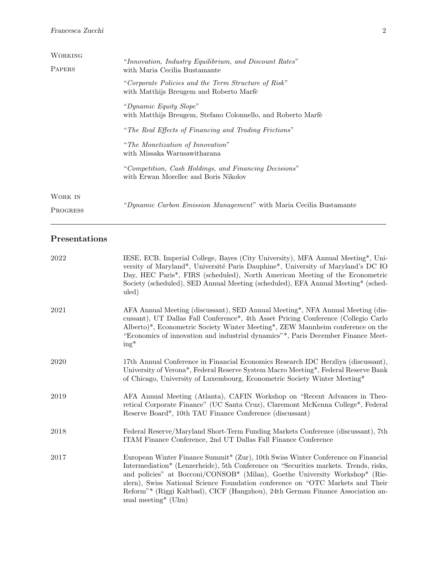#### Francesca Zucchi 2

| <b>WORKING</b> |                                                                                                |
|----------------|------------------------------------------------------------------------------------------------|
| <b>PAPERS</b>  | "Innovation, Industry Equilibrium, and Discount Rates"<br>with Maria Cecilia Bustamante        |
|                | "Corporate Policies and the Term Structure of Risk"<br>with Matthijs Breugem and Roberto Marfè |
|                | "Dynamic Equity Slope"<br>with Matthijs Breugem, Stefano Colonnello, and Roberto Marfè         |
|                | "The Real Effects of Financing and Trading Frictions"                                          |
|                | "The Monetization of Innovation"<br>with Missaka Warusawitharana                               |
|                | "Competition, Cash Holdings, and Financing Decisions"<br>with Erwan Morellec and Boris Nikolov |
| WORK IN        |                                                                                                |
| PROGRESS       | "Dynamic Carbon Emission Management" with Maria Cecilia Bustamante                             |

#### Presentations

| 2022 | IESE, ECB, Imperial College, Bayes (City University), MFA Annual Meeting*, Uni-<br>versity of Maryland*, Université Paris Dauphine*, University of Maryland's DC IO<br>Day, HEC Paris*, FIRS (scheduled), North American Meeting of the Econometric<br>Society (scheduled), SED Annual Meeting (scheduled), EFA Annual Meeting* (sched-<br>uled)                                                                                                               |
|------|----------------------------------------------------------------------------------------------------------------------------------------------------------------------------------------------------------------------------------------------------------------------------------------------------------------------------------------------------------------------------------------------------------------------------------------------------------------|
| 2021 | AFA Annual Meeting (discussant), SED Annual Meeting*, NFA Annual Meeting (dis-<br>cussant), UT Dallas Fall Conference <sup>*</sup> , 4th Asset Pricing Conference (Collegio Carlo<br>Alberto)*, Econometric Society Winter Meeting*, ZEW Mannheim conference on the<br>"Economics of innovation and industrial dynamics"*, Paris December Finance Meet-<br>$ing^*$                                                                                             |
| 2020 | 17th Annual Conference in Financial Economics Research IDC Herzliya (discussant),<br>University of Verona*, Federal Reserve System Macro Meeting*, Federal Reserve Bank<br>of Chicago, University of Luxembourg, Econometric Society Winter Meeting*                                                                                                                                                                                                           |
| 2019 | AFA Annual Meeting (Atlanta), CAFIN Workshop on "Recent Advances in Theo-<br>retical Corporate Finance" (UC Santa Cruz), Claremont McKenna College <sup>*</sup> , Federal<br>Reserve Board*, 10th TAU Finance Conference (discussant)                                                                                                                                                                                                                          |
| 2018 | Federal Reserve/Maryland Short-Term Funding Markets Conference (discussant), 7th<br>ITAM Finance Conference, 2nd UT Dallas Fall Finance Conference                                                                                                                                                                                                                                                                                                             |
| 2017 | European Winter Finance Summit* (Zur), 10th Swiss Winter Conference on Financial<br>Intermediation* (Lenzerheide), 5th Conference on "Securities markets. Trends, risks,<br>and policies" at Bocconi/CONSOB* (Milan), Goethe University Workshop* (Rie-<br>zlern), Swiss National Science Foundation conference on "OTC Markets and Their<br>Reform"* (Riggi Kaltbad), CICF (Hangzhou), 24th German Finance Association an-<br>nual meeting <sup>*</sup> (Ulm) |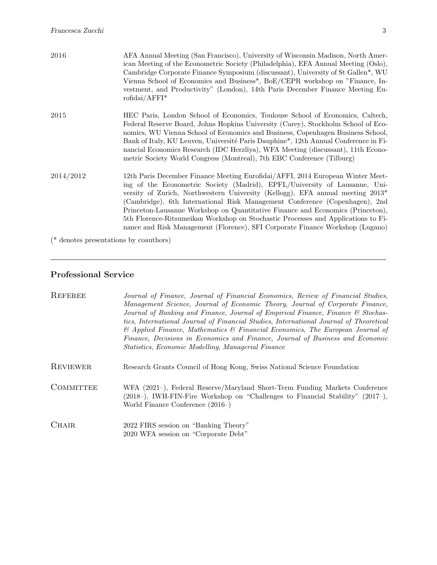| 2016      | AFA Annual Meeting (San Francisco), University of Wisconsin Madison, North Amer-<br>ican Meeting of the Econometric Society (Philadelphia), EFA Annual Meeting (Oslo),<br>Cambridge Corporate Finance Symposium (discussant), University of St Gallen*, WU<br>Vienna School of Economics and Business*, BoE/CEPR workshop on "Finance, In-<br>vestment, and Productivity" (London), 14th Paris December Finance Meeting Eu-<br>$\text{rofidai}/\text{AFFI}^*$                                                                                                                         |
|-----------|---------------------------------------------------------------------------------------------------------------------------------------------------------------------------------------------------------------------------------------------------------------------------------------------------------------------------------------------------------------------------------------------------------------------------------------------------------------------------------------------------------------------------------------------------------------------------------------|
| 2015      | HEC Paris, London School of Economics, Toulouse School of Economics, Caltech,<br>Federal Reserve Board, Johns Hopkins University (Carey), Stockholm School of Eco-<br>nomics, WU Vienna School of Economics and Business, Copenhagen Business School,<br>Bank of Italy, KU Leuven, Université Paris Dauphine <sup>*</sup> , 12th Annual Conference in Fi-<br>nancial Economics Research (IDC Herzliya), WFA Meeting (discussant), 11th Econo-<br>metric Society World Congress (Montreal), 7th EBC Conference (Tilburg)                                                               |
| 2014/2012 | 12th Paris December Finance Meeting Eurofidai/AFFI, 2014 European Winter Meet-<br>ing of the Econometric Society (Madrid), EPFL/University of Lausanne, Uni-<br>versity of Zurich, Northwestern University (Kellogg), EFA annual meeting 2013*<br>(Cambridge), 6th International Risk Management Conference (Copenhagen), 2nd<br>Princeton-Lausanne Workshop on Quantitative Finance and Economics (Princeton),<br>5th Florence-Ritsumeikan Workshop on Stochastic Processes and Applications to Fi-<br>nance and Risk Management (Florence), SFI Corporate Finance Workshop (Lugano) |
|           | ( $*$ denotes presentations by coauthors)                                                                                                                                                                                                                                                                                                                                                                                                                                                                                                                                             |

<u> 1989 - Johann Stoff, deutscher Stoffen und der Stoffen und der Stoffen und der Stoffen und der Stoffen und der</u>

# Professional Service

| REFEREE         | Journal of Finance, Journal of Financial Economics, Review of Financial Studies,<br>Management Science, Journal of Economic Theory, Journal of Corporate Finance,<br>Journal of Banking and Finance, Journal of Empirical Finance, Finance & Stochas-<br>tics, International Journal of Financial Studies, International Journal of Theoretical<br>$\&$ Applied Finance, Mathematics $\&$ Financial Economics, The European Journal of<br>Finance, Decisions in Economics and Finance, Journal of Business and Economic<br>Statistics, Economic Modelling, Managerial Finance |
|-----------------|-------------------------------------------------------------------------------------------------------------------------------------------------------------------------------------------------------------------------------------------------------------------------------------------------------------------------------------------------------------------------------------------------------------------------------------------------------------------------------------------------------------------------------------------------------------------------------|
| <b>REVIEWER</b> | Research Grants Council of Hong Kong, Swiss National Science Foundation                                                                                                                                                                                                                                                                                                                                                                                                                                                                                                       |
| COMMITTEE       | WFA (2021–), Federal Reserve/Maryland Short-Term Funding Markets Conference<br>(2018–), IWH-FIN-Fire Workshop on "Challenges to Financial Stability" (2017–),<br>World Finance Conference $(2016-)$                                                                                                                                                                                                                                                                                                                                                                           |
| <b>CHAIR</b>    | 2022 FIRS session on "Banking Theory"<br>2020 WFA session on "Corporate Debt"                                                                                                                                                                                                                                                                                                                                                                                                                                                                                                 |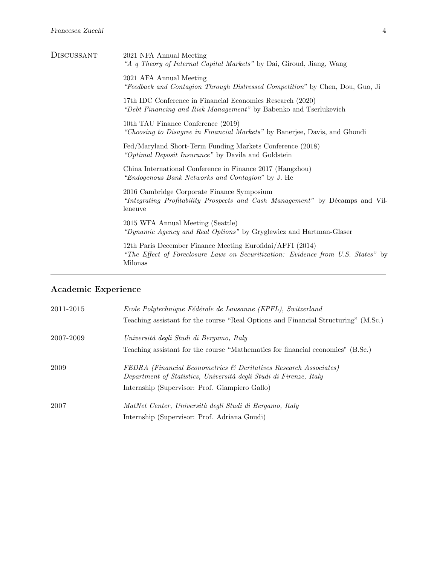| <b>DISCUSSANT</b> | 2021 NFA Annual Meeting<br>"A q Theory of Internal Capital Markets" by Dai, Giroud, Jiang, Wang                                                          |
|-------------------|----------------------------------------------------------------------------------------------------------------------------------------------------------|
|                   | 2021 AFA Annual Meeting<br>"Feedback and Contagion Through Distressed Competition" by Chen, Dou, Guo, Ji                                                 |
|                   | 17th IDC Conference in Financial Economics Research (2020)<br>"Debt Financing and Risk Management" by Babenko and Tserlukevich                           |
|                   | 10th TAU Finance Conference (2019)<br>"Choosing to Disagree in Financial Markets" by Banerjee, Davis, and Ghondi                                         |
|                   | Fed/Maryland Short-Term Funding Markets Conference (2018)<br>"Optimal Deposit Insurance" by Davila and Goldstein                                         |
|                   | China International Conference in Finance 2017 (Hangzhou)<br>"Endogenous Bank Networks and Contagion" by J. He                                           |
|                   | 2016 Cambridge Corporate Finance Symposium<br>"Integrating Profitability Prospects and Cash Management" by Décamps and Vil-<br>leneuve                   |
|                   | 2015 WFA Annual Meeting (Seattle)<br>"Dynamic Agency and Real Options" by Gryglewicz and Hartman-Glaser                                                  |
|                   | 12th Paris December Finance Meeting Eurofidai/AFFI (2014)<br>"The Effect of Foreclosure Laws on Securitization: Evidence from U.S. States" by<br>Milonas |

## Academic Experience

| 2011-2015 | Ecole Polytechnique Fédérale de Lausanne (EPFL), Switzerland                                                                           |
|-----------|----------------------------------------------------------------------------------------------------------------------------------------|
|           | Teaching assistant for the course "Real Options and Financial Structuring" (M.Sc.)                                                     |
| 2007-2009 | Università degli Studi di Bergamo, Italy                                                                                               |
|           | Teaching assistant for the course "Mathematics for financial economics" (B.Sc.)                                                        |
| 2009      | FEDRA (Financial Econometrics & Deritatives Research Associates)<br>Department of Statistics, Università degli Studi di Firenze, Italy |
|           | Internship (Supervisor: Prof. Giampiero Gallo)                                                                                         |
| 2007      | MatNet Center, Università degli Studi di Bergamo, Italy                                                                                |
|           | Internship (Supervisor: Prof. Adriana Gnudi)                                                                                           |
|           |                                                                                                                                        |